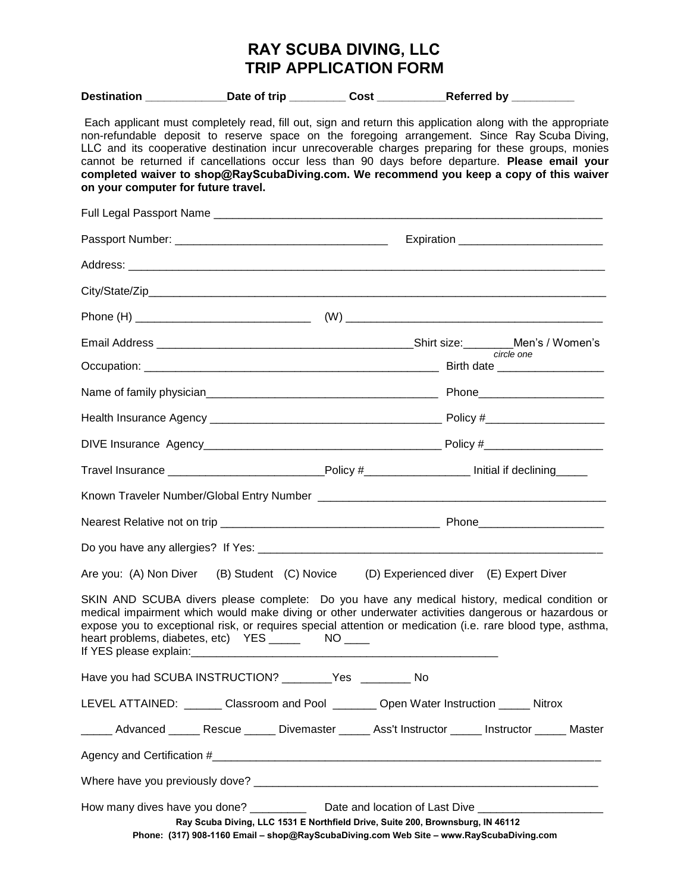## **RAY SCUBA DIVING, LLC TRIP APPLICATION FORM**

|                                     | Destination _______________Date of trip ___________Cost _____________Referred by ___________                                                                                                                                                                                                                                                                                                                                                                                                                     |  |                                        |                                                                                                                                                                                                            |  |  |
|-------------------------------------|------------------------------------------------------------------------------------------------------------------------------------------------------------------------------------------------------------------------------------------------------------------------------------------------------------------------------------------------------------------------------------------------------------------------------------------------------------------------------------------------------------------|--|----------------------------------------|------------------------------------------------------------------------------------------------------------------------------------------------------------------------------------------------------------|--|--|
| on your computer for future travel. | Each applicant must completely read, fill out, sign and return this application along with the appropriate<br>non-refundable deposit to reserve space on the foregoing arrangement. Since Ray Scuba Diving,<br>LLC and its cooperative destination incur unrecoverable charges preparing for these groups, monies<br>cannot be returned if cancellations occur less than 90 days before departure. Please email your<br>completed waiver to shop@RayScubaDiving.com. We recommend you keep a copy of this waiver |  |                                        |                                                                                                                                                                                                            |  |  |
|                                     |                                                                                                                                                                                                                                                                                                                                                                                                                                                                                                                  |  |                                        |                                                                                                                                                                                                            |  |  |
|                                     |                                                                                                                                                                                                                                                                                                                                                                                                                                                                                                                  |  |                                        |                                                                                                                                                                                                            |  |  |
|                                     |                                                                                                                                                                                                                                                                                                                                                                                                                                                                                                                  |  |                                        |                                                                                                                                                                                                            |  |  |
|                                     |                                                                                                                                                                                                                                                                                                                                                                                                                                                                                                                  |  |                                        |                                                                                                                                                                                                            |  |  |
|                                     |                                                                                                                                                                                                                                                                                                                                                                                                                                                                                                                  |  |                                        |                                                                                                                                                                                                            |  |  |
|                                     |                                                                                                                                                                                                                                                                                                                                                                                                                                                                                                                  |  |                                        |                                                                                                                                                                                                            |  |  |
|                                     |                                                                                                                                                                                                                                                                                                                                                                                                                                                                                                                  |  |                                        | circle one                                                                                                                                                                                                 |  |  |
|                                     |                                                                                                                                                                                                                                                                                                                                                                                                                                                                                                                  |  |                                        |                                                                                                                                                                                                            |  |  |
|                                     |                                                                                                                                                                                                                                                                                                                                                                                                                                                                                                                  |  |                                        |                                                                                                                                                                                                            |  |  |
|                                     |                                                                                                                                                                                                                                                                                                                                                                                                                                                                                                                  |  |                                        |                                                                                                                                                                                                            |  |  |
|                                     | Travel Insurance ____________________________Policy #_____________________Initial if declining_____                                                                                                                                                                                                                                                                                                                                                                                                              |  |                                        |                                                                                                                                                                                                            |  |  |
|                                     |                                                                                                                                                                                                                                                                                                                                                                                                                                                                                                                  |  |                                        |                                                                                                                                                                                                            |  |  |
|                                     |                                                                                                                                                                                                                                                                                                                                                                                                                                                                                                                  |  |                                        |                                                                                                                                                                                                            |  |  |
|                                     |                                                                                                                                                                                                                                                                                                                                                                                                                                                                                                                  |  |                                        |                                                                                                                                                                                                            |  |  |
|                                     | Are you: (A) Non Diver (B) Student (C) Novice                                                                                                                                                                                                                                                                                                                                                                                                                                                                    |  | (D) Experienced diver (E) Expert Diver |                                                                                                                                                                                                            |  |  |
|                                     | medical impairment which would make diving or other underwater activities dangerous or hazardous or<br>heart problems, diabetes, etc) YES _________ NO _____                                                                                                                                                                                                                                                                                                                                                     |  |                                        | SKIN AND SCUBA divers please complete: Do you have any medical history, medical condition or<br>expose you to exceptional risk, or requires special attention or medication (i.e. rare blood type, asthma, |  |  |
|                                     | Have you had SCUBA INSTRUCTION? ________Yes ________ No                                                                                                                                                                                                                                                                                                                                                                                                                                                          |  |                                        |                                                                                                                                                                                                            |  |  |
|                                     | LEVEL ATTAINED: ______ Classroom and Pool _______ Open Water Instruction _____ Nitrox                                                                                                                                                                                                                                                                                                                                                                                                                            |  |                                        |                                                                                                                                                                                                            |  |  |
|                                     | _____ Advanced _____ Rescue _____ Divemaster _____ Ass't Instructor _____ Instructor _____ Master                                                                                                                                                                                                                                                                                                                                                                                                                |  |                                        |                                                                                                                                                                                                            |  |  |
|                                     |                                                                                                                                                                                                                                                                                                                                                                                                                                                                                                                  |  |                                        |                                                                                                                                                                                                            |  |  |
|                                     |                                                                                                                                                                                                                                                                                                                                                                                                                                                                                                                  |  |                                        |                                                                                                                                                                                                            |  |  |
|                                     | How many dives have you done? ________________Date and location of Last Dive _______________________<br>Ray Scuba Diving, LLC 1531 E Northfield Drive, Suite 200, Brownsburg, IN 46112<br>Phone: (317) 908-1160 Email - shop@RayScubaDiving.com Web Site - www.RayScubaDiving.com                                                                                                                                                                                                                                |  |                                        |                                                                                                                                                                                                            |  |  |